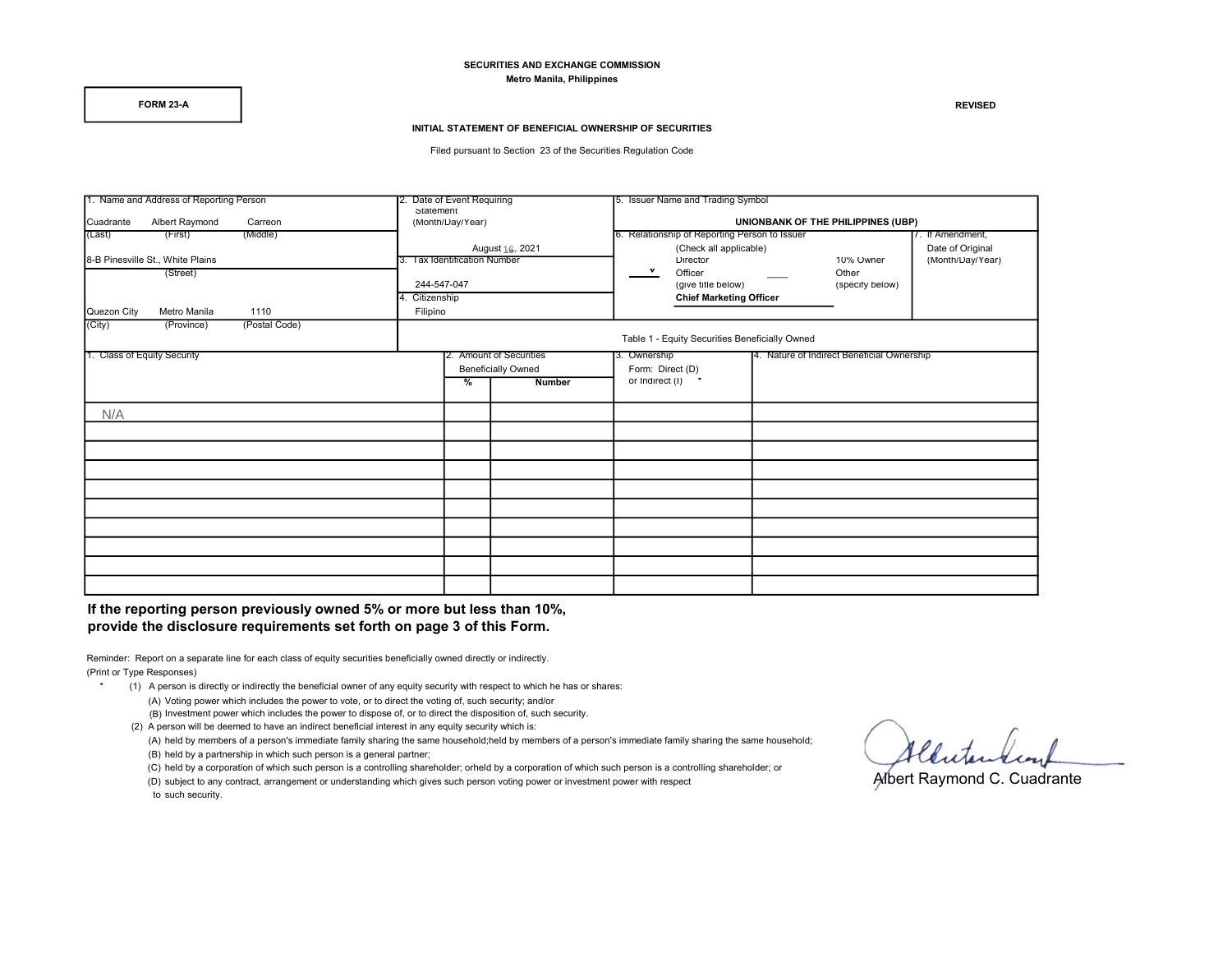## SECURITIES AND EXCHANGE COMMISSION

Metro Manila, Philippines

FORM 23-A REVISED

### INITIAL STATEMENT OF BENEFICIAL OWNERSHIP OF SECURITIES

Filed pursuant to Section 23 of the Securities Regulation Code

| 1. Name and Address of Reporting Person |                |               |                | 2. Date of Event Requiring<br>Statement |                           |                                                | 5. Issuer Name and Trading Symbol                                 |  |                                            |                  |  |  |  |  |
|-----------------------------------------|----------------|---------------|----------------|-----------------------------------------|---------------------------|------------------------------------------------|-------------------------------------------------------------------|--|--------------------------------------------|------------------|--|--|--|--|
| Cuadrante                               | Albert Raymond | Carreon       |                | (Month/Day/Year)                        |                           |                                                | UNIONBANK OF THE PHILIPPINES (UBP)                                |  |                                            |                  |  |  |  |  |
| (Last)                                  | (First)        | (Middle)      |                |                                         |                           |                                                | 6. Relationship of Reporting Person to Issuer<br>7. If Amendment, |  |                                            |                  |  |  |  |  |
|                                         |                |               |                |                                         | August 16, 2021           | (Check all applicable)                         |                                                                   |  | Date of Original                           |                  |  |  |  |  |
| 8-B Pinesville St., White Plains        |                |               |                | 3. Tax Identification Number            |                           |                                                | Director                                                          |  | 10% Owner                                  | (Month/Day/Year) |  |  |  |  |
|                                         | (Street)       |               |                |                                         |                           |                                                | Officer                                                           |  | Other                                      |                  |  |  |  |  |
|                                         |                |               | 244-547-047    |                                         |                           | (give title below)                             |                                                                   |  | (specify below)                            |                  |  |  |  |  |
|                                         |                |               | 4. Citizenship |                                         |                           |                                                | <b>Chief Marketing Officer</b>                                    |  |                                            |                  |  |  |  |  |
| Quezon City                             | Metro Manila   | 1110          | Filipino       |                                         |                           |                                                |                                                                   |  |                                            |                  |  |  |  |  |
| (City)                                  | (Province)     | (Postal Code) |                |                                         |                           |                                                |                                                                   |  |                                            |                  |  |  |  |  |
|                                         |                |               |                |                                         |                           | Table 1 - Equity Securities Beneficially Owned |                                                                   |  |                                            |                  |  |  |  |  |
| 1. Class of Equity Security             |                |               |                |                                         | 2. Amount of Securities   | 3. Ownership                                   |                                                                   |  | 4. Nature of Indirect Beneficial Ownership |                  |  |  |  |  |
|                                         |                |               |                |                                         | <b>Beneficially Owned</b> | Form: Direct (D)                               |                                                                   |  |                                            |                  |  |  |  |  |
|                                         |                |               |                | %                                       | Number                    | or Indirect (I)                                |                                                                   |  |                                            |                  |  |  |  |  |
|                                         |                |               |                |                                         |                           |                                                |                                                                   |  |                                            |                  |  |  |  |  |
| N/A                                     |                |               |                |                                         |                           |                                                |                                                                   |  |                                            |                  |  |  |  |  |
|                                         |                |               |                |                                         |                           |                                                |                                                                   |  |                                            |                  |  |  |  |  |
|                                         |                |               |                |                                         |                           |                                                |                                                                   |  |                                            |                  |  |  |  |  |
|                                         |                |               |                |                                         |                           |                                                |                                                                   |  |                                            |                  |  |  |  |  |
|                                         |                |               |                |                                         |                           |                                                |                                                                   |  |                                            |                  |  |  |  |  |
|                                         |                |               |                |                                         |                           |                                                |                                                                   |  |                                            |                  |  |  |  |  |
|                                         |                |               |                |                                         |                           |                                                |                                                                   |  |                                            |                  |  |  |  |  |
|                                         |                |               |                |                                         |                           |                                                |                                                                   |  |                                            |                  |  |  |  |  |
|                                         |                |               |                |                                         |                           |                                                |                                                                   |  |                                            |                  |  |  |  |  |
|                                         |                |               |                |                                         |                           |                                                |                                                                   |  |                                            |                  |  |  |  |  |

If the reporting person previously owned 5% or more but less than 10%, provide the disclosure requirements set forth on page 3 of this Form.

Reminder: Report on a separate line for each class of equity securities beneficially owned directly or indirectly. (Print or Type Responses)

(1) A person is directly or indirectly the beneficial owner of any equity security with respect to which he has or shares:

(A) Voting power which includes the power to vote, or to direct the voting of, such security; and/or (B) Investment power which includes the power to dispose of, or to direct the disposition of, such security.

(2) A person will be deemed to have an indirect beneficial interest in any equity security which is:

(A) held by members of a person's immediate family sharing the same household;held by members of a person's immediate family sharing the same household; (B) held by a partnership in which such person is a general partner;

- (C) held by a corporation of which such person is a controlling shareholder; orheld by a corporation of which such person is a controlling shareholder; or
- (D) subject to any contract, arrangement or understanding which gives such person voting power or investment power with respect

Albritan

to such security. The sign Here is a state of the sign Here is a state of the sign Here is a state of the sign Here is a state of the sign Here is a state of the sign Here is a state of the state of the state of the state Albert Raymond C. Cuadrante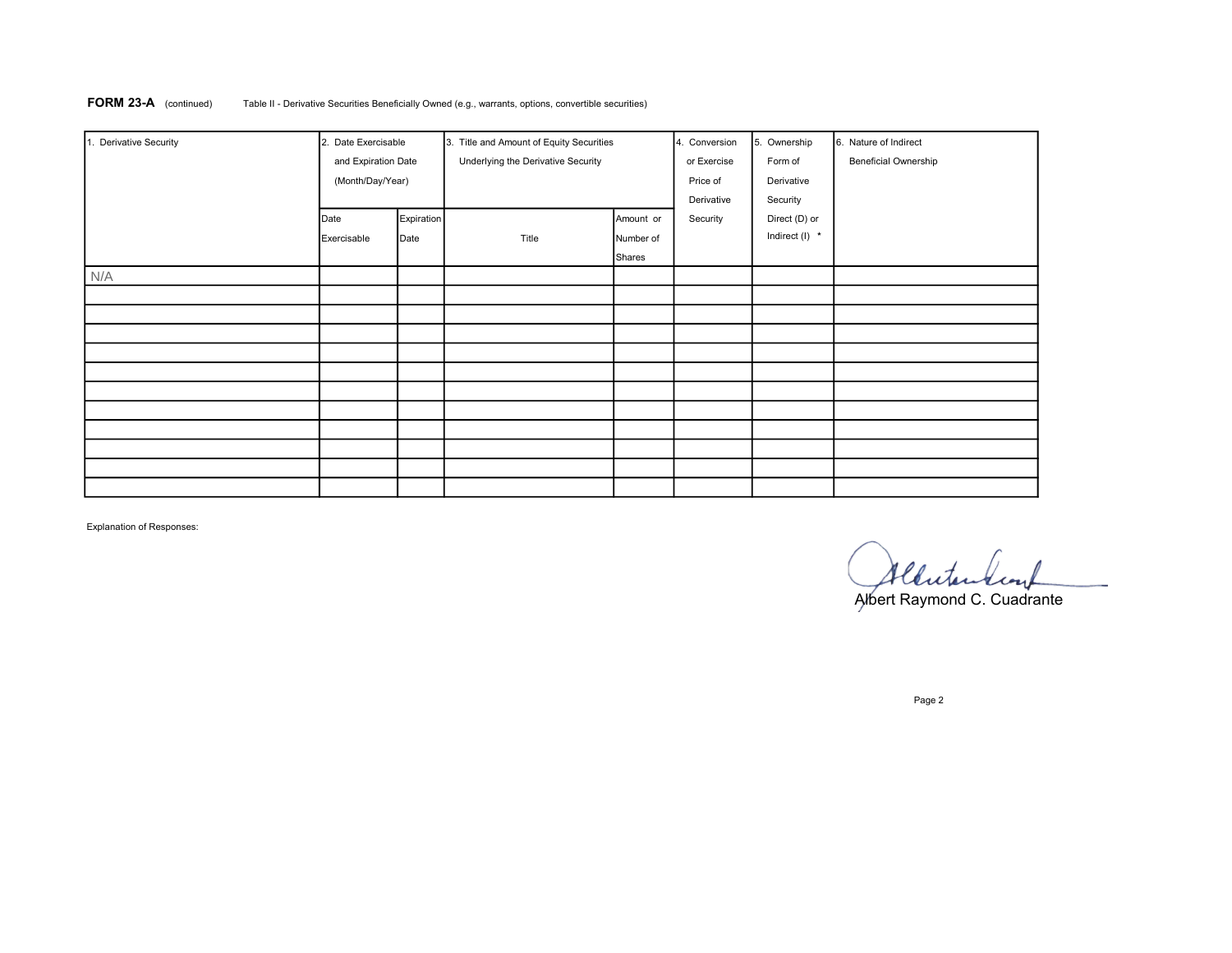# FORM 23-A (continued) Table II - Derivative Securities Beneficially Owned (e.g., warrants, options, convertible securities)

| 1. Derivative Security | 2. Date Exercisable |            | 3. Title and Amount of Equity Securities | 4. Conversion | 5. Ownership | 6. Nature of Indirect |                      |
|------------------------|---------------------|------------|------------------------------------------|---------------|--------------|-----------------------|----------------------|
|                        | and Expiration Date |            | Underlying the Derivative Security       |               | or Exercise  | Form of               | Beneficial Ownership |
|                        | (Month/Day/Year)    |            |                                          |               | Price of     | Derivative            |                      |
|                        |                     |            |                                          |               | Derivative   | Security              |                      |
|                        | Date                | Expiration |                                          | Amount or     | Security     | Direct (D) or         |                      |
|                        | Exercisable         | Date       | Title                                    | Number of     |              | Indirect (I) *        |                      |
|                        |                     |            |                                          | Shares        |              |                       |                      |
| N/A                    |                     |            |                                          |               |              |                       |                      |
|                        |                     |            |                                          |               |              |                       |                      |
|                        |                     |            |                                          |               |              |                       |                      |
|                        |                     |            |                                          |               |              |                       |                      |
|                        |                     |            |                                          |               |              |                       |                      |
|                        |                     |            |                                          |               |              |                       |                      |
|                        |                     |            |                                          |               |              |                       |                      |
|                        |                     |            |                                          |               |              |                       |                      |
|                        |                     |            |                                          |               |              |                       |                      |
|                        |                     |            |                                          |               |              |                       |                      |
|                        |                     |            |                                          |               |              |                       |                      |
|                        |                     |            |                                          |               |              |                       |                      |

Explanation of Responses:

Albuter Lout

Page 2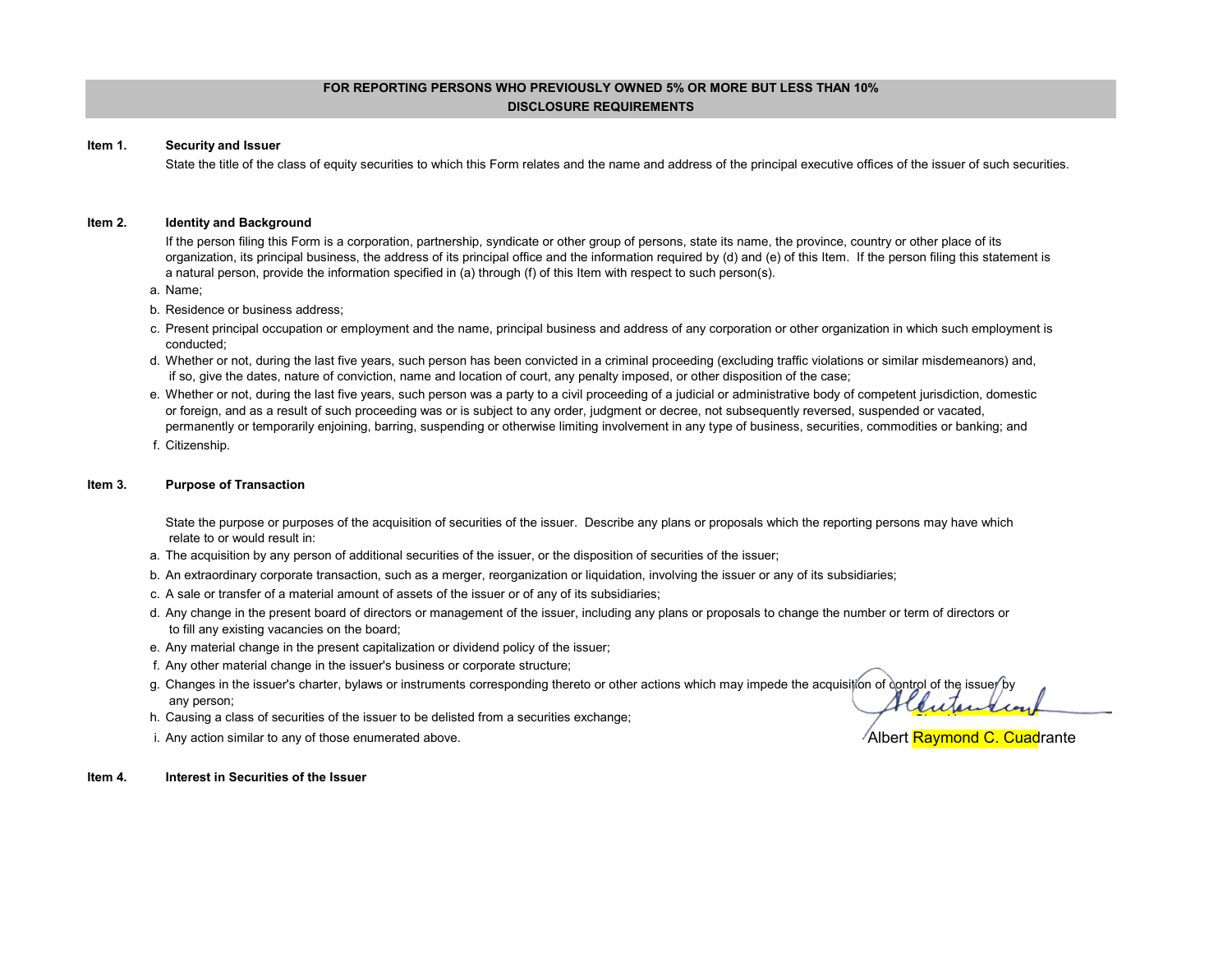### FOR REPORTING PERSONS WHO PREVIOUSLY OWNED 5% OR MORE BUT LESS THAN 10% DISCLOSURE REQUIREMENTS

### Item 1. Security and Issuer

State the title of the class of equity securities to which this Form relates and the name and address of the principal executive offices of the issuer of such securities.

#### Item 2. Identity and Background

If the person filing this Form is a corporation, partnership, syndicate or other group of persons, state its name, the province, country or other place of its organization, its principal business, the address of its principal office and the information required by (d) and (e) of this Item. If the person filing this statement is a natural person, provide the information specified in (a) through (f) of this Item with respect to such person(s).

a. Name;

- b. Residence or business address;
- c. Present principal occupation or employment and the name, principal business and address of any corporation or other organization in which such employment is conducted;
- d. Whether or not, during the last five years, such person has been convicted in a criminal proceeding (excluding traffic violations or similar misdemeanors) and, if so, give the dates, nature of conviction, name and location of court, any penalty imposed, or other disposition of the case;
- e. Whether or not, during the last five years, such person was a party to a civil proceeding of a judicial or administrative body of competent jurisdiction, domestic or foreign, and as a result of such proceeding was or is subject to any order, judgment or decree, not subsequently reversed, suspended or vacated, permanently or temporarily enjoining, barring, suspending or otherwise limiting involvement in any type of business, securities, commodities or banking; and
- f. Citizenship.

#### Item 3. Purpose of Transaction

State the purpose or purposes of the acquisition of securities of the issuer. Describe any plans or proposals which the reporting persons may have which relate to or would result in:

- a. The acquisition by any person of additional securities of the issuer, or the disposition of securities of the issuer;
- b. An extraordinary corporate transaction, such as a merger, reorganization or liquidation, involving the issuer or any of its subsidiaries;
- c. A sale or transfer of a material amount of assets of the issuer or of any of its subsidiaries;
- d. Any change in the present board of directors or management of the issuer, including any plans or proposals to change the number or term of directors or to fill any existing vacancies on the board;
- e. Any material change in the present capitalization or dividend policy of the issuer;
- f. Any other material change in the issuer's business or corporate structure;
- g. Changes in the issuer's charter, bylaws or instruments corresponding thereto or other actions which may impede the acquisition of òontrol of the issuer by any person;
- h. Causing a class of securities of the issuer to be delisted from a securities exchange;
- i. Any action similar to any of those enumerated above.

Albert Raymond C. Cuadrante

#### Item 4. Interest in Securities of the Issuer